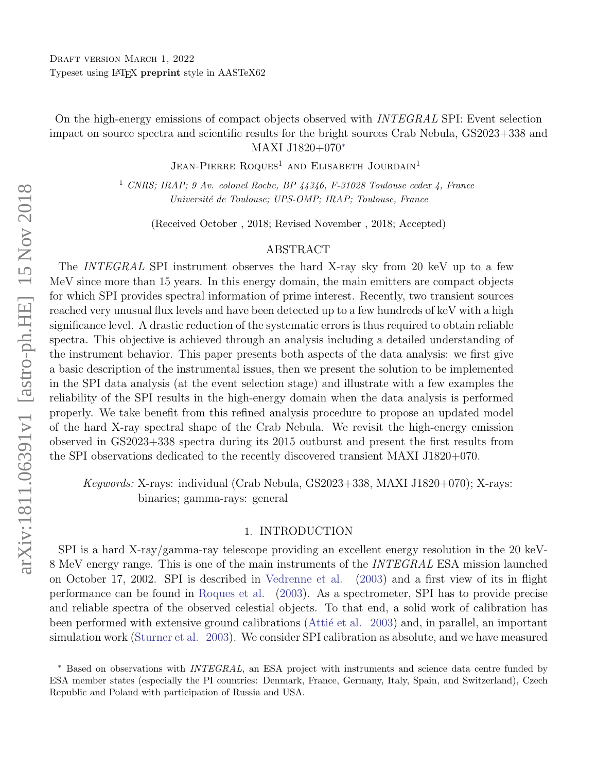On the high-energy emissions of compact objects observed with INTEGRAL SPI: Event selection impact on source spectra and scientific results for the bright sources Crab Nebula, GS2023+338 and MAXI J1820+070[∗](#page-0-0)

JEAN-PIERRE ROQUES<sup>1</sup> AND ELISABETH JOURDAIN<sup>1</sup>

<sup>1</sup> CNRS; IRAP; 9 Av. colonel Roche, BP 44346, F-31028 Toulouse cedex 4, France Universit´e de Toulouse; UPS-OMP; IRAP; Toulouse, France

(Received October , 2018; Revised November , 2018; Accepted)

#### ABSTRACT

The INTEGRAL SPI instrument observes the hard X-ray sky from 20 keV up to a few MeV since more than 15 years. In this energy domain, the main emitters are compact objects for which SPI provides spectral information of prime interest. Recently, two transient sources reached very unusual flux levels and have been detected up to a few hundreds of keV with a high significance level. A drastic reduction of the systematic errors is thus required to obtain reliable spectra. This objective is achieved through an analysis including a detailed understanding of the instrument behavior. This paper presents both aspects of the data analysis: we first give a basic description of the instrumental issues, then we present the solution to be implemented in the SPI data analysis (at the event selection stage) and illustrate with a few examples the reliability of the SPI results in the high-energy domain when the data analysis is performed properly. We take benefit from this refined analysis procedure to propose an updated model of the hard X-ray spectral shape of the Crab Nebula. We revisit the high-energy emission observed in GS2023+338 spectra during its 2015 outburst and present the first results from the SPI observations dedicated to the recently discovered transient MAXI J1820+070.

Keywords: X-rays: individual (Crab Nebula, GS2023+338, MAXI J1820+070); X-rays: binaries; gamma-rays: general

### 1. INTRODUCTION

SPI is a hard X-ray/gamma-ray telescope providing an excellent energy resolution in the 20 keV-8 MeV energy range. This is one of the main instruments of the INTEGRAL ESA mission launched on October 17, 2002. SPI is described in [Vedrenne et al.](#page-21-0) [\(2003\)](#page-21-0) and a first view of its in flight performance can be found in [Roques et al.](#page-21-1) [\(2003\)](#page-21-1). As a spectrometer, SPI has to provide precise and reliable spectra of the observed celestial objects. To that end, a solid work of calibration has been performed with extensive ground calibrations (Attie et al. [2003\)](#page-21-2) and, in parallel, an important simulation work [\(Sturner et al.](#page-21-3) [2003\)](#page-21-3). We consider SPI calibration as absolute, and we have measured

<span id="page-0-0"></span><sup>∗</sup> Based on observations with INTEGRAL, an ESA project with instruments and science data centre funded by ESA member states (especially the PI countries: Denmark, France, Germany, Italy, Spain, and Switzerland), Czech Republic and Poland with participation of Russia and USA.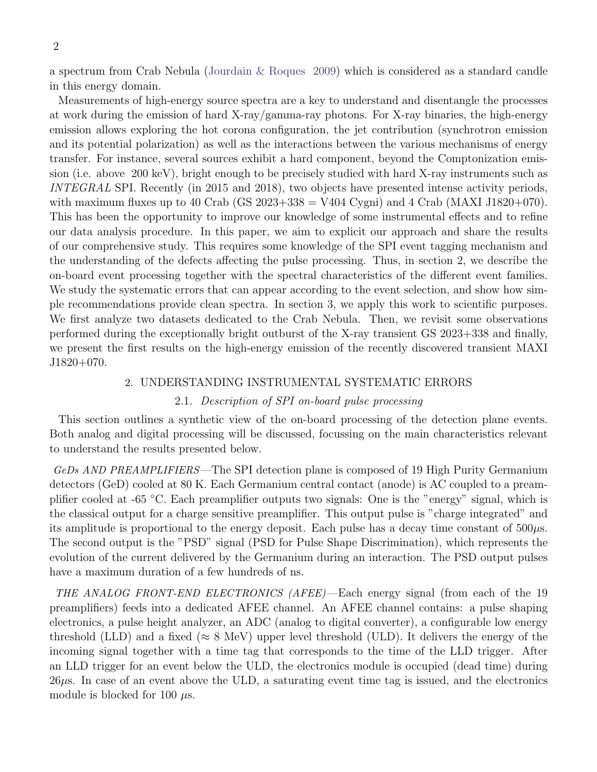a spectrum from Crab Nebula [\(Jourdain & Roques](#page-21-4) [2009\)](#page-21-4) which is considered as a standard candle in this energy domain.

Measurements of high-energy source spectra are a key to understand and disentangle the processes at work during the emission of hard X-ray/gamma-ray photons. For X-ray binaries, the high-energy emission allows exploring the hot corona configuration, the jet contribution (synchrotron emission and its potential polarization) as well as the interactions between the various mechanisms of energy transfer. For instance, several sources exhibit a hard component, beyond the Comptonization emission (i.e. above 200 keV), bright enough to be precisely studied with hard X-ray instruments such as INTEGRAL SPI. Recently (in 2015 and 2018), two objects have presented intense activity periods, with maximum fluxes up to 40 Crab (GS  $2023+338 = V404$  Cygni) and 4 Crab (MAXI J1820+070). This has been the opportunity to improve our knowledge of some instrumental effects and to refine our data analysis procedure. In this paper, we aim to explicit our approach and share the results of our comprehensive study. This requires some knowledge of the SPI event tagging mechanism and the understanding of the defects affecting the pulse processing. Thus, in section 2, we describe the on-board event processing together with the spectral characteristics of the different event families. We study the systematic errors that can appear according to the event selection, and show how simple recommendations provide clean spectra. In section 3, we apply this work to scientific purposes. We first analyze two datasets dedicated to the Crab Nebula. Then, we revisit some observations performed during the exceptionally bright outburst of the X-ray transient GS 2023+338 and finally, we present the first results on the high-energy emission of the recently discovered transient MAXI J1820+070.

#### 2. UNDERSTANDING INSTRUMENTAL SYSTEMATIC ERRORS

# 2.1. Description of SPI on-board pulse processing

This section outlines a synthetic view of the on-board processing of the detection plane events. Both analog and digital processing will be discussed, focussing on the main characteristics relevant to understand the results presented below.

GeDs AND PREAMPLIFIERS—The SPI detection plane is composed of 19 High Purity Germanium detectors (GeD) cooled at 80 K. Each Germanium central contact (anode) is AC coupled to a preamplifier cooled at -65 ◦C. Each preamplifier outputs two signals: One is the "energy" signal, which is the classical output for a charge sensitive preamplifier. This output pulse is "charge integrated" and its amplitude is proportional to the energy deposit. Each pulse has a decay time constant of  $500\mu s$ . The second output is the "PSD" signal (PSD for Pulse Shape Discrimination), which represents the evolution of the current delivered by the Germanium during an interaction. The PSD output pulses have a maximum duration of a few hundreds of ns.

THE ANALOG FRONT-END ELECTRONICS (AFEE) —Each energy signal (from each of the 19 preamplifiers) feeds into a dedicated AFEE channel. An AFEE channel contains: a pulse shaping electronics, a pulse height analyzer, an ADC (analog to digital converter), a configurable low energy threshold (LLD) and a fixed ( $\approx 8$  MeV) upper level threshold (ULD). It delivers the energy of the incoming signal together with a time tag that corresponds to the time of the LLD trigger. After an LLD trigger for an event below the ULD, the electronics module is occupied (dead time) during  $26\mu s$ . In case of an event above the ULD, a saturating event time tag is issued, and the electronics module is blocked for 100  $\mu$ s.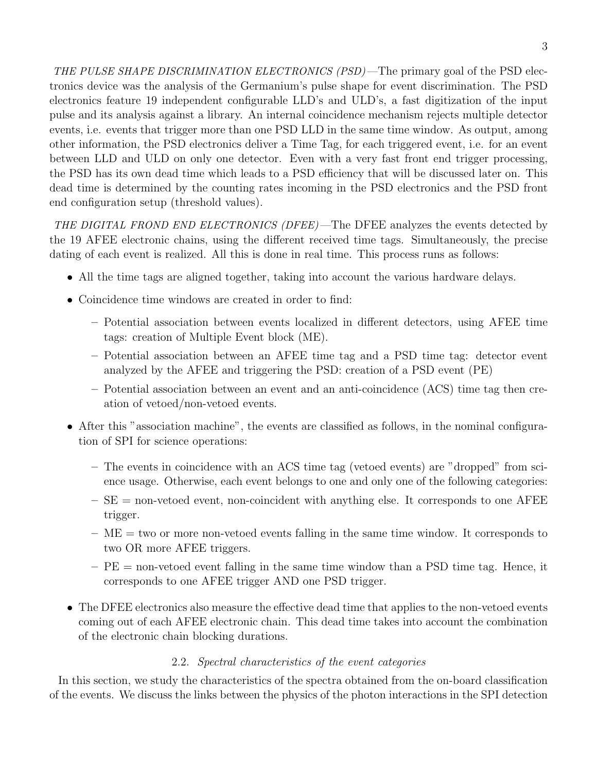THE PULSE SHAPE DISCRIMINATION ELECTRONICS (PSD)—The primary goal of the PSD electronics device was the analysis of the Germanium's pulse shape for event discrimination. The PSD electronics feature 19 independent configurable LLD's and ULD's, a fast digitization of the input pulse and its analysis against a library. An internal coincidence mechanism rejects multiple detector events, i.e. events that trigger more than one PSD LLD in the same time window. As output, among other information, the PSD electronics deliver a Time Tag, for each triggered event, i.e. for an event between LLD and ULD on only one detector. Even with a very fast front end trigger processing, the PSD has its own dead time which leads to a PSD efficiency that will be discussed later on. This dead time is determined by the counting rates incoming in the PSD electronics and the PSD front end configuration setup (threshold values).

THE DIGITAL FROND END ELECTRONICS (DFEE)—The DFEE analyzes the events detected by the 19 AFEE electronic chains, using the different received time tags. Simultaneously, the precise dating of each event is realized. All this is done in real time. This process runs as follows:

- All the time tags are aligned together, taking into account the various hardware delays.
- Coincidence time windows are created in order to find:
	- Potential association between events localized in different detectors, using AFEE time tags: creation of Multiple Event block (ME).
	- Potential association between an AFEE time tag and a PSD time tag: detector event analyzed by the AFEE and triggering the PSD: creation of a PSD event (PE)
	- Potential association between an event and an anti-coincidence (ACS) time tag then creation of vetoed/non-vetoed events.
- After this "association machine", the events are classified as follows, in the nominal configuration of SPI for science operations:
	- The events in coincidence with an ACS time tag (vetoed events) are "dropped" from science usage. Otherwise, each event belongs to one and only one of the following categories:
	- $-SE =$  non-vetoed event, non-coincident with anything else. It corresponds to one AFEE trigger.
	- $-ME =$  two or more non-vetoed events falling in the same time window. It corresponds to two OR more AFEE triggers.
	- $-PE =$  non-vetoed event falling in the same time window than a PSD time tag. Hence, it corresponds to one AFEE trigger AND one PSD trigger.
- The DFEE electronics also measure the effective dead time that applies to the non-vetoed events coming out of each AFEE electronic chain. This dead time takes into account the combination of the electronic chain blocking durations.

# 2.2. Spectral characteristics of the event categories

In this section, we study the characteristics of the spectra obtained from the on-board classification of the events. We discuss the links between the physics of the photon interactions in the SPI detection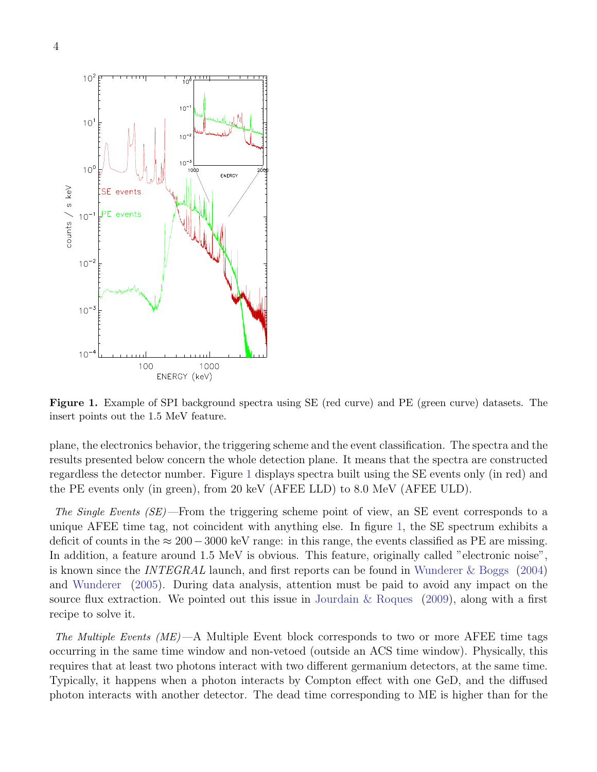

<span id="page-3-0"></span>Figure 1. Example of SPI background spectra using SE (red curve) and PE (green curve) datasets. The insert points out the 1.5 MeV feature.

plane, the electronics behavior, the triggering scheme and the event classification. The spectra and the results presented below concern the whole detection plane. It means that the spectra are constructed regardless the detector number. Figure [1](#page-3-0) displays spectra built using the SE events only (in red) and the PE events only (in green), from 20 keV (AFEE LLD) to 8.0 MeV (AFEE ULD).

The Single Events (SE)—From the triggering scheme point of view, an SE event corresponds to a unique AFEE time tag, not coincident with anything else. In figure [1,](#page-3-0) the SE spectrum exhibits a deficit of counts in the  $\approx 200-3000$  keV range: in this range, the events classified as PE are missing. In addition, a feature around 1.5 MeV is obvious. This feature, originally called "electronic noise", is known since the *INTEGRAL* launch, and first reports can be found in [Wunderer & Boggs](#page-21-5) [\(2004\)](#page-21-5) and [Wunderer](#page-21-6) [\(2005\)](#page-21-6). During data analysis, attention must be paid to avoid any impact on the source flux extraction. We pointed out this issue in Jourdain  $\&$  Roques [\(2009\)](#page-21-4), along with a first recipe to solve it.

The Multiple Events  $(ME)$ —A Multiple Event block corresponds to two or more AFEE time tags occurring in the same time window and non-vetoed (outside an ACS time window). Physically, this requires that at least two photons interact with two different germanium detectors, at the same time. Typically, it happens when a photon interacts by Compton effect with one GeD, and the diffused photon interacts with another detector. The dead time corresponding to ME is higher than for the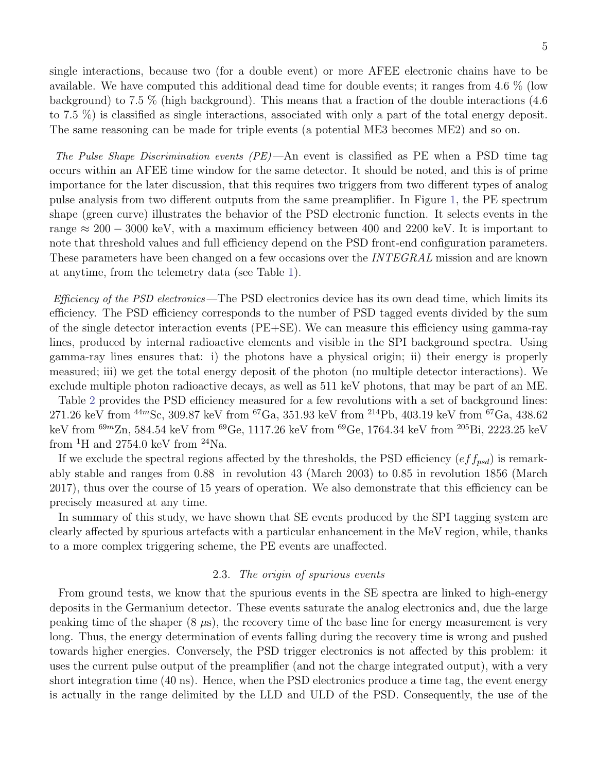single interactions, because two (for a double event) or more AFEE electronic chains have to be available. We have computed this additional dead time for double events; it ranges from 4.6 % (low background) to 7.5 % (high background). This means that a fraction of the double interactions (4.6 to 7.5 %) is classified as single interactions, associated with only a part of the total energy deposit. The same reasoning can be made for triple events (a potential ME3 becomes ME2) and so on.

The Pulse Shape Discrimination events (PE)—An event is classified as PE when a PSD time tag occurs within an AFEE time window for the same detector. It should be noted, and this is of prime importance for the later discussion, that this requires two triggers from two different types of analog pulse analysis from two different outputs from the same preamplifier. In Figure [1,](#page-3-0) the PE spectrum shape (green curve) illustrates the behavior of the PSD electronic function. It selects events in the range  $\approx 200 - 3000$  keV, with a maximum efficiency between 400 and 2200 keV. It is important to note that threshold values and full efficiency depend on the PSD front-end configuration parameters. These parameters have been changed on a few occasions over the *INTEGRAL* mission and are known at anytime, from the telemetry data (see Table [1\)](#page-22-0).

Efficiency of the PSD electronics —The PSD electronics device has its own dead time, which limits its efficiency. The PSD efficiency corresponds to the number of PSD tagged events divided by the sum of the single detector interaction events (PE+SE). We can measure this efficiency using gamma-ray lines, produced by internal radioactive elements and visible in the SPI background spectra. Using gamma-ray lines ensures that: i) the photons have a physical origin; ii) their energy is properly measured; iii) we get the total energy deposit of the photon (no multiple detector interactions). We exclude multiple photon radioactive decays, as well as 511 keV photons, that may be part of an ME.

Table [2](#page-22-1) provides the PSD efficiency measured for a few revolutions with a set of background lines: 271.26 keV from  $^{44m}$ Sc, 309.87 keV from  $^{67}$ Ga, 351.93 keV from  $^{214}$ Pb, 403.19 keV from  $^{67}$ Ga, 438.62 keV from <sup>69</sup><sup>m</sup>Zn, 584.54 keV from <sup>69</sup>Ge, 1117.26 keV from <sup>69</sup>Ge, 1764.34 keV from <sup>205</sup>Bi, 2223.25 keV from  ${}^{1}$ H and 2754.0 keV from  ${}^{24}$ Na.

If we exclude the spectral regions affected by the thresholds, the PSD efficiency  $(eff_{psd})$  is remarkably stable and ranges from 0.88 in revolution 43 (March 2003) to 0.85 in revolution 1856 (March 2017), thus over the course of 15 years of operation. We also demonstrate that this efficiency can be precisely measured at any time.

In summary of this study, we have shown that SE events produced by the SPI tagging system are clearly affected by spurious artefacts with a particular enhancement in the MeV region, while, thanks to a more complex triggering scheme, the PE events are unaffected.

### 2.3. The origin of spurious events

From ground tests, we know that the spurious events in the SE spectra are linked to high-energy deposits in the Germanium detector. These events saturate the analog electronics and, due the large peaking time of the shaper  $(8 \mu s)$ , the recovery time of the base line for energy measurement is very long. Thus, the energy determination of events falling during the recovery time is wrong and pushed towards higher energies. Conversely, the PSD trigger electronics is not affected by this problem: it uses the current pulse output of the preamplifier (and not the charge integrated output), with a very short integration time (40 ns). Hence, when the PSD electronics produce a time tag, the event energy is actually in the range delimited by the LLD and ULD of the PSD. Consequently, the use of the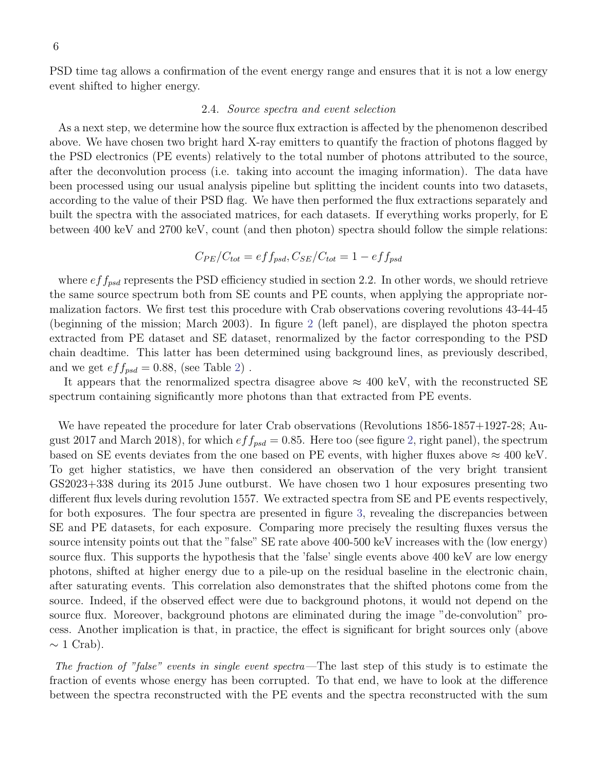PSD time tag allows a confirmation of the event energy range and ensures that it is not a low energy event shifted to higher energy.

#### 2.4. Source spectra and event selection

As a next step, we determine how the source flux extraction is affected by the phenomenon described above. We have chosen two bright hard X-ray emitters to quantify the fraction of photons flagged by the PSD electronics (PE events) relatively to the total number of photons attributed to the source, after the deconvolution process (i.e. taking into account the imaging information). The data have been processed using our usual analysis pipeline but splitting the incident counts into two datasets, according to the value of their PSD flag. We have then performed the flux extractions separately and built the spectra with the associated matrices, for each datasets. If everything works properly, for E between 400 keV and 2700 keV, count (and then photon) spectra should follow the simple relations:

$$
C_{PE}/C_{tot} = eff_{psd}, C_{SE}/C_{tot} = 1 - eff_{psd}
$$

where  $eff_{psd}$  represents the PSD efficiency studied in section 2.2. In other words, we should retrieve the same source spectrum both from SE counts and PE counts, when applying the appropriate normalization factors. We first test this procedure with Crab observations covering revolutions 43-44-45 (beginning of the mission; March 2003). In figure [2](#page-6-0) (left panel), are displayed the photon spectra extracted from PE dataset and SE dataset, renormalized by the factor corresponding to the PSD chain deadtime. This latter has been determined using background lines, as previously described, and we get  $eff_{psd} = 0.88$ , (see Table [2\)](#page-22-1).

It appears that the renormalized spectra disagree above  $\approx 400$  keV, with the reconstructed SE spectrum containing significantly more photons than that extracted from PE events.

We have repeated the procedure for later Crab observations (Revolutions 1856-1857+1927-28; August 2017 and March 2018), for which  $eff_{psd} = 0.85$ . Here too (see figure [2,](#page-6-0) right panel), the spectrum based on SE events deviates from the one based on PE events, with higher fluxes above  $\approx 400$  keV. To get higher statistics, we have then considered an observation of the very bright transient GS2023+338 during its 2015 June outburst. We have chosen two 1 hour exposures presenting two different flux levels during revolution 1557. We extracted spectra from SE and PE events respectively, for both exposures. The four spectra are presented in figure [3,](#page-7-0) revealing the discrepancies between SE and PE datasets, for each exposure. Comparing more precisely the resulting fluxes versus the source intensity points out that the "false" SE rate above 400-500 keV increases with the (low energy) source flux. This supports the hypothesis that the 'false' single events above 400 keV are low energy photons, shifted at higher energy due to a pile-up on the residual baseline in the electronic chain, after saturating events. This correlation also demonstrates that the shifted photons come from the source. Indeed, if the observed effect were due to background photons, it would not depend on the source flux. Moreover, background photons are eliminated during the image "de-convolution" process. Another implication is that, in practice, the effect is significant for bright sources only (above  $\sim 1$  Crab).

The fraction of "false" events in single event spectra —The last step of this study is to estimate the fraction of events whose energy has been corrupted. To that end, we have to look at the difference between the spectra reconstructed with the PE events and the spectra reconstructed with the sum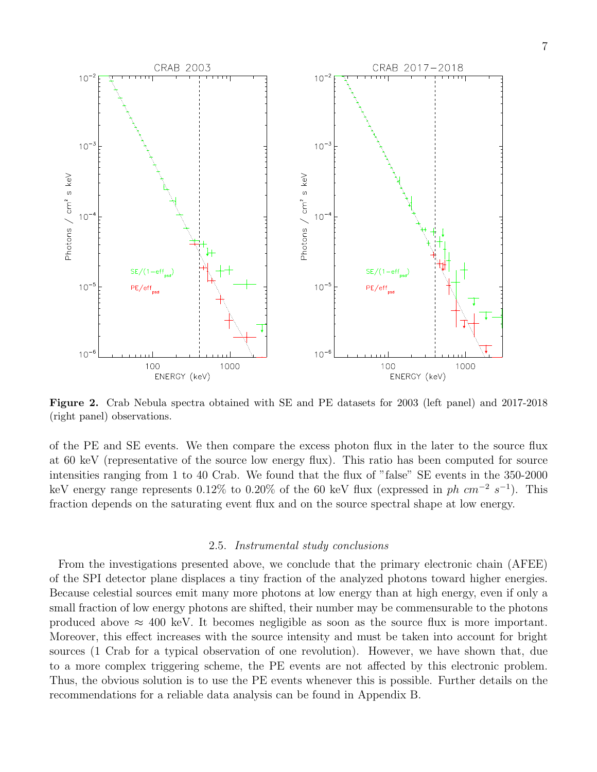

<span id="page-6-0"></span>Figure 2. Crab Nebula spectra obtained with SE and PE datasets for 2003 (left panel) and 2017-2018 (right panel) observations.

of the PE and SE events. We then compare the excess photon flux in the later to the source flux at 60 keV (representative of the source low energy flux). This ratio has been computed for source intensities ranging from 1 to 40 Crab. We found that the flux of "false" SE events in the 350-2000 keV energy range represents 0.12% to 0.20% of the 60 keV flux (expressed in  $ph \ cm^{-2} s^{-1}$ ). This fraction depends on the saturating event flux and on the source spectral shape at low energy.

#### 2.5. Instrumental study conclusions

From the investigations presented above, we conclude that the primary electronic chain (AFEE) of the SPI detector plane displaces a tiny fraction of the analyzed photons toward higher energies. Because celestial sources emit many more photons at low energy than at high energy, even if only a small fraction of low energy photons are shifted, their number may be commensurable to the photons produced above  $\approx 400$  keV. It becomes negligible as soon as the source flux is more important. Moreover, this effect increases with the source intensity and must be taken into account for bright sources (1 Crab for a typical observation of one revolution). However, we have shown that, due to a more complex triggering scheme, the PE events are not affected by this electronic problem. Thus, the obvious solution is to use the PE events whenever this is possible. Further details on the recommendations for a reliable data analysis can be found in Appendix B.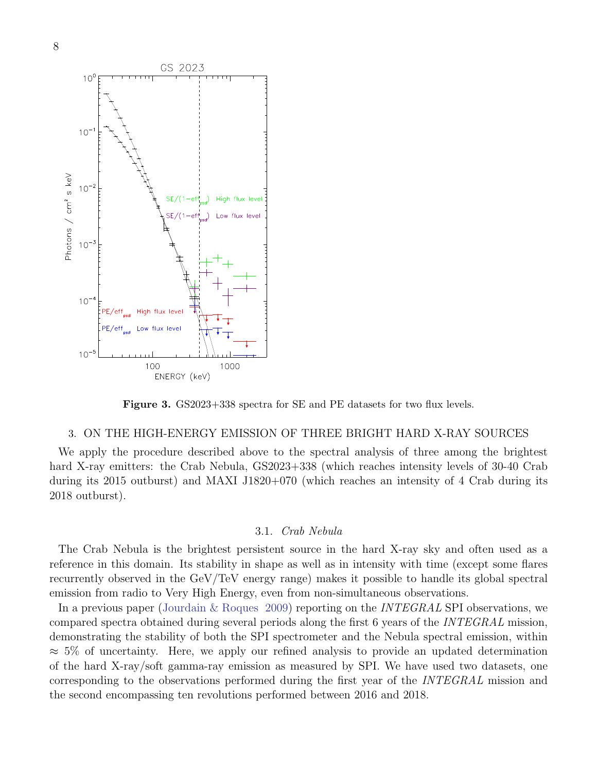

<span id="page-7-0"></span>Figure 3. GS2023+338 spectra for SE and PE datasets for two flux levels.

### 3. ON THE HIGH-ENERGY EMISSION OF THREE BRIGHT HARD X-RAY SOURCES

We apply the procedure described above to the spectral analysis of three among the brightest hard X-ray emitters: the Crab Nebula, GS2023+338 (which reaches intensity levels of 30-40 Crab during its 2015 outburst) and MAXI J1820+070 (which reaches an intensity of 4 Crab during its 2018 outburst).

### 3.1. Crab Nebula

The Crab Nebula is the brightest persistent source in the hard X-ray sky and often used as a reference in this domain. Its stability in shape as well as in intensity with time (except some flares recurrently observed in the GeV/TeV energy range) makes it possible to handle its global spectral emission from radio to Very High Energy, even from non-simultaneous observations.

In a previous paper [\(Jourdain & Roques](#page-21-4) [2009\)](#page-21-4) reporting on the INTEGRAL SPI observations, we compared spectra obtained during several periods along the first 6 years of the INTEGRAL mission, demonstrating the stability of both the SPI spectrometer and the Nebula spectral emission, within  $\approx$  5% of uncertainty. Here, we apply our refined analysis to provide an updated determination of the hard X-ray/soft gamma-ray emission as measured by SPI. We have used two datasets, one corresponding to the observations performed during the first year of the INTEGRAL mission and the second encompassing ten revolutions performed between 2016 and 2018.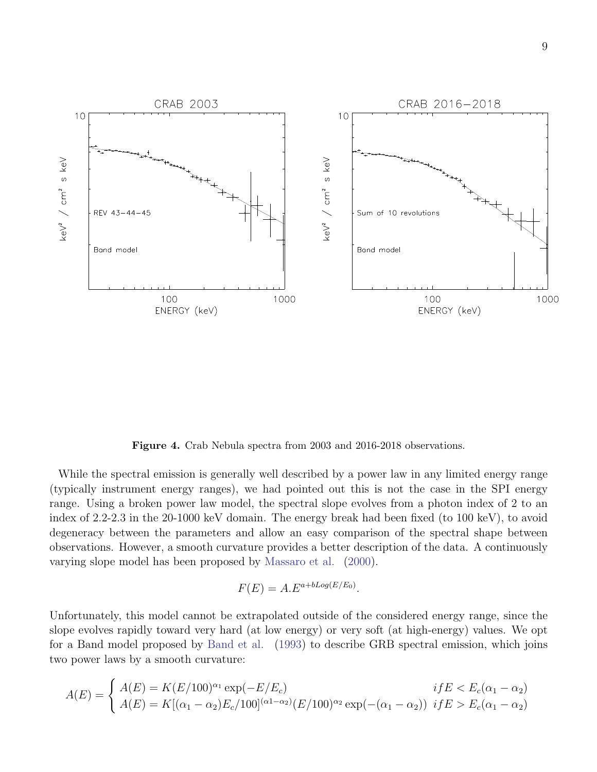

<span id="page-8-0"></span>Figure 4. Crab Nebula spectra from 2003 and 2016-2018 observations.

While the spectral emission is generally well described by a power law in any limited energy range (typically instrument energy ranges), we had pointed out this is not the case in the SPI energy range. Using a broken power law model, the spectral slope evolves from a photon index of 2 to an index of 2.2-2.3 in the 20-1000 keV domain. The energy break had been fixed (to 100 keV), to avoid degeneracy between the parameters and allow an easy comparison of the spectral shape between observations. However, a smooth curvature provides a better description of the data. A continuously varying slope model has been proposed by [Massaro et al.](#page-21-7) [\(2000\)](#page-21-7).

$$
F(E) = A.E^{a+bLog(E/E_0)}.
$$

Unfortunately, this model cannot be extrapolated outside of the considered energy range, since the slope evolves rapidly toward very hard (at low energy) or very soft (at high-energy) values. We opt for a Band model proposed by [Band et al.](#page-21-8) [\(1993\)](#page-21-8) to describe GRB spectral emission, which joins two power laws by a smooth curvature:

$$
A(E) = \begin{cases} A(E) = K(E/100)^{\alpha_1} \exp(-E/E_c) & if E < E_c(\alpha_1 - \alpha_2) \\ A(E) = K[(\alpha_1 - \alpha_2)E_c/100]^{(\alpha_1 - \alpha_2)} (E/100)^{\alpha_2} \exp(-(\alpha_1 - \alpha_2)) & if E > E_c(\alpha_1 - \alpha_2) \end{cases}
$$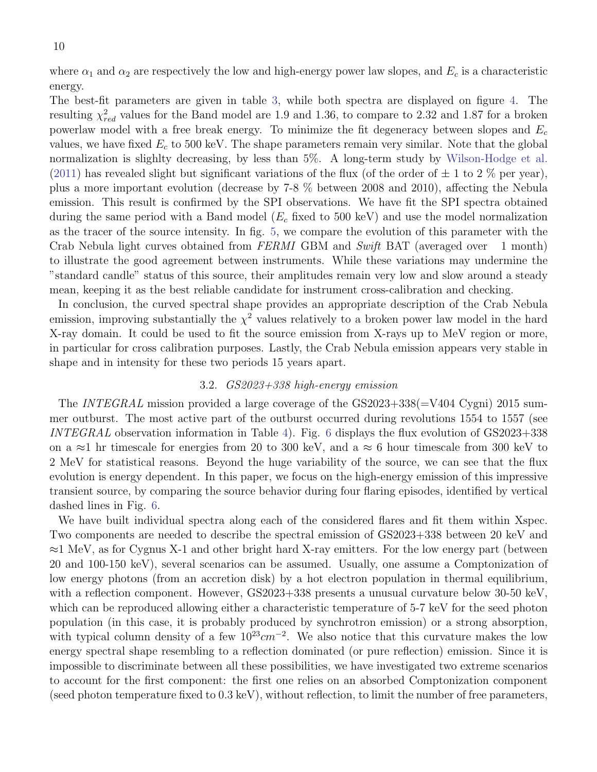where  $\alpha_1$  and  $\alpha_2$  are respectively the low and high-energy power law slopes, and  $E_c$  is a characteristic energy.

The best-fit parameters are given in table [3,](#page-22-2) while both spectra are displayed on figure [4.](#page-8-0) The resulting  $\chi^2_{red}$  values for the Band model are 1.9 and 1.36, to compare to 2.32 and 1.87 for a broken powerlaw model with a free break energy. To minimize the fit degeneracy between slopes and  $E_c$ values, we have fixed  $E_c$  to 500 keV. The shape parameters remain very similar. Note that the global normalization is slighlty decreasing, by less than 5%. A long-term study by [Wilson-Hodge et al.](#page-21-9) [\(2011\)](#page-21-9) has revealed slight but significant variations of the flux (of the order of  $\pm$  1 to 2 % per year), plus a more important evolution (decrease by 7-8 % between 2008 and 2010), affecting the Nebula emission. This result is confirmed by the SPI observations. We have fit the SPI spectra obtained during the same period with a Band model ( $E_c$  fixed to 500 keV) and use the model normalization as the tracer of the source intensity. In fig. [5,](#page-10-0) we compare the evolution of this parameter with the Crab Nebula light curves obtained from FERMI GBM and Swift BAT (averaged over 1 month) to illustrate the good agreement between instruments. While these variations may undermine the "standard candle" status of this source, their amplitudes remain very low and slow around a steady mean, keeping it as the best reliable candidate for instrument cross-calibration and checking.

In conclusion, the curved spectral shape provides an appropriate description of the Crab Nebula emission, improving substantially the  $\chi^2$  values relatively to a broken power law model in the hard X-ray domain. It could be used to fit the source emission from X-rays up to MeV region or more, in particular for cross calibration purposes. Lastly, the Crab Nebula emission appears very stable in shape and in intensity for these two periods 15 years apart.

## 3.2. GS2023+338 high-energy emission

The INTEGRAL mission provided a large coverage of the GS2023+338(=V404 Cygni) 2015 summer outburst. The most active part of the outburst occurred during revolutions 1554 to 1557 (see INTEGRAL observation information in Table [4\)](#page-23-0). Fig. [6](#page-11-0) displays the flux evolution of  $GS2023+338$ on a ≈1 hr timescale for energies from 20 to 300 keV, and a ≈ 6 hour timescale from 300 keV to 2 MeV for statistical reasons. Beyond the huge variability of the source, we can see that the flux evolution is energy dependent. In this paper, we focus on the high-energy emission of this impressive transient source, by comparing the source behavior during four flaring episodes, identified by vertical dashed lines in Fig. [6.](#page-11-0)

We have built individual spectra along each of the considered flares and fit them within Xspec. Two components are needed to describe the spectral emission of GS2023+338 between 20 keV and ≈1 MeV, as for Cygnus X-1 and other bright hard X-ray emitters. For the low energy part (between 20 and 100-150 keV), several scenarios can be assumed. Usually, one assume a Comptonization of low energy photons (from an accretion disk) by a hot electron population in thermal equilibrium, with a reflection component. However, GS2023+338 presents a unusual curvature below 30-50 keV, which can be reproduced allowing either a characteristic temperature of 5-7 keV for the seed photon population (in this case, it is probably produced by synchrotron emission) or a strong absorption, with typical column density of a few  $10^{23}$ cm<sup>-2</sup>. We also notice that this curvature makes the low energy spectral shape resembling to a reflection dominated (or pure reflection) emission. Since it is impossible to discriminate between all these possibilities, we have investigated two extreme scenarios to account for the first component: the first one relies on an absorbed Comptonization component (seed photon temperature fixed to 0.3 keV), without reflection, to limit the number of free parameters,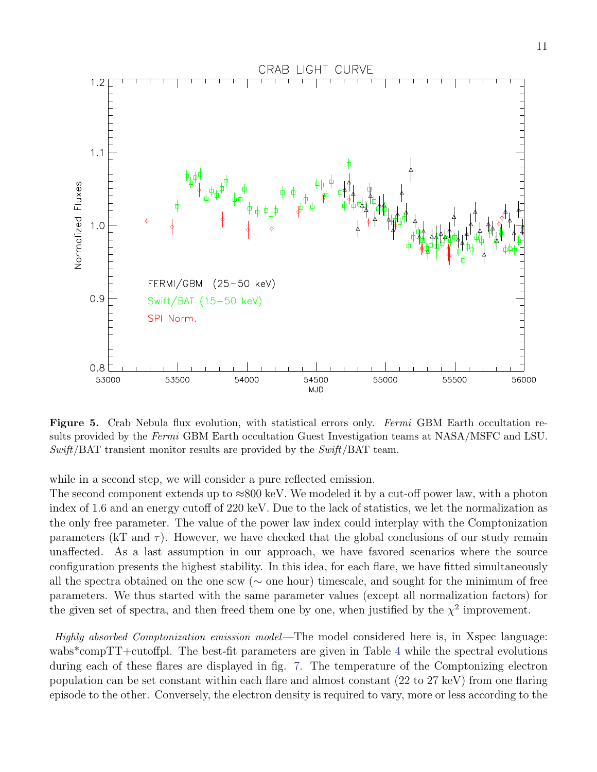

<span id="page-10-0"></span>Figure 5. Crab Nebula flux evolution, with statistical errors only. Fermi GBM Earth occultation results provided by the Fermi GBM Earth occultation Guest Investigation teams at NASA/MSFC and LSU.  $Swift/BAT$  transient monitor results are provided by the  $Swift/BAT$  team.

while in a second step, we will consider a pure reflected emission.

The second component extends up to  $\approx 800 \text{ keV}$ . We modeled it by a cut-off power law, with a photon index of 1.6 and an energy cutoff of 220 keV. Due to the lack of statistics, we let the normalization as the only free parameter. The value of the power law index could interplay with the Comptonization parameters (kT and  $\tau$ ). However, we have checked that the global conclusions of our study remain unaffected. As a last assumption in our approach, we have favored scenarios where the source configuration presents the highest stability. In this idea, for each flare, we have fitted simultaneously all the spectra obtained on the one scw (∼ one hour) timescale, and sought for the minimum of free parameters. We thus started with the same parameter values (except all normalization factors) for the given set of spectra, and then freed them one by one, when justified by the  $\chi^2$  improvement.

Highly absorbed Comptonization emission model—The model considered here is, in Xspec language: wabs\*compTT+cutoffpl. The best-fit parameters are given in Table [4](#page-23-0) while the spectral evolutions during each of these flares are displayed in fig. [7.](#page-12-0) The temperature of the Comptonizing electron population can be set constant within each flare and almost constant (22 to 27 keV) from one flaring episode to the other. Conversely, the electron density is required to vary, more or less according to the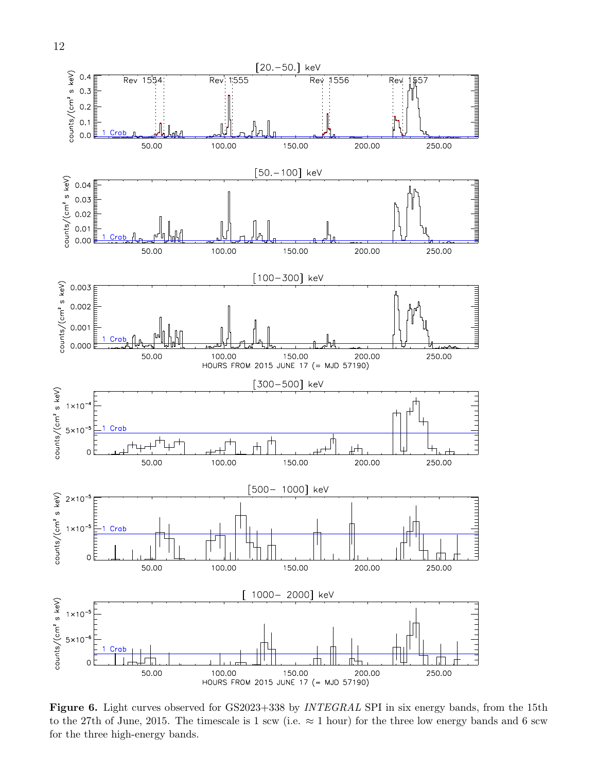

<span id="page-11-0"></span>Figure 6. Light curves observed for GS2023+338 by *INTEGRAL* SPI in six energy bands, from the 15th to the 27th of June, 2015. The timescale is 1 scw (i.e.  $\approx$  1 hour) for the three low energy bands and 6 scw for the three high-energy bands.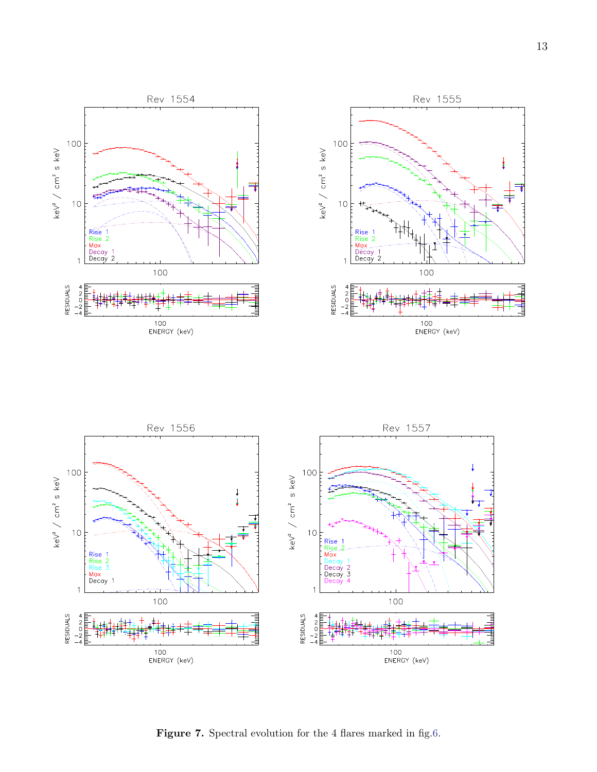



<span id="page-12-0"></span>Figure 7. Spectral evolution for the 4 flares marked in fig[.6.](#page-11-0)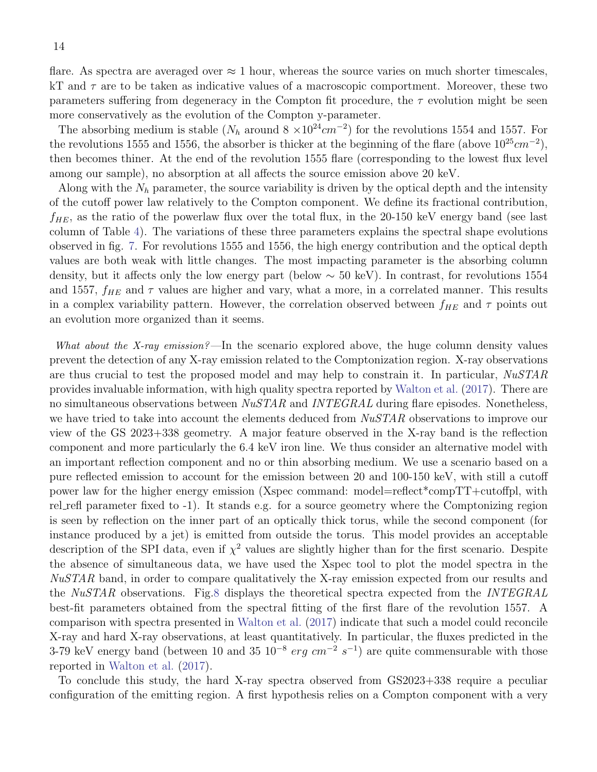flare. As spectra are averaged over  $\approx 1$  hour, whereas the source varies on much shorter timescales, kT and  $\tau$  are to be taken as indicative values of a macroscopic comportment. Moreover, these two parameters suffering from degeneracy in the Compton fit procedure, the  $\tau$  evolution might be seen more conservatively as the evolution of the Compton y-parameter.

The absorbing medium is stable ( $N_h$  around 8  $\times 10^{24}$  cm<sup>-2</sup>) for the revolutions 1554 and 1557. For the revolutions 1555 and 1556, the absorber is thicker at the beginning of the flare (above  $10^{25}cm^{-2}$ ), then becomes thiner. At the end of the revolution 1555 flare (corresponding to the lowest flux level among our sample), no absorption at all affects the source emission above 20 keV.

Along with the  $N_h$  parameter, the source variability is driven by the optical depth and the intensity of the cutoff power law relatively to the Compton component. We define its fractional contribution,  $f_{HE}$ , as the ratio of the powerlaw flux over the total flux, in the 20-150 keV energy band (see last column of Table [4\)](#page-23-0). The variations of these three parameters explains the spectral shape evolutions observed in fig. [7.](#page-12-0) For revolutions 1555 and 1556, the high energy contribution and the optical depth values are both weak with little changes. The most impacting parameter is the absorbing column density, but it affects only the low energy part (below  $\sim 50 \text{ keV}$ ). In contrast, for revolutions 1554 and 1557,  $f_{HE}$  and  $\tau$  values are higher and vary, what a more, in a correlated manner. This results in a complex variability pattern. However, the correlation observed between  $f_{HE}$  and  $\tau$  points out an evolution more organized than it seems.

What about the X-ray emission?—In the scenario explored above, the huge column density values prevent the detection of any X-ray emission related to the Comptonization region. X-ray observations are thus crucial to test the proposed model and may help to constrain it. In particular, NuSTAR provides invaluable information, with high quality spectra reported by [Walton et al.](#page-21-10) [\(2017\)](#page-21-10). There are no simultaneous observations between  $NuSTAR$  and  $INTEGRAL$  during flare episodes. Nonetheless, we have tried to take into account the elements deduced from  $NuSTAR$  observations to improve our view of the GS 2023+338 geometry. A major feature observed in the X-ray band is the reflection component and more particularly the 6.4 keV iron line. We thus consider an alternative model with an important reflection component and no or thin absorbing medium. We use a scenario based on a pure reflected emission to account for the emission between 20 and 100-150 keV, with still a cutoff power law for the higher energy emission (Xspec command: model=reflect\*compTT+cutoffpl, with rel refl parameter fixed to -1). It stands e.g. for a source geometry where the Comptonizing region is seen by reflection on the inner part of an optically thick torus, while the second component (for instance produced by a jet) is emitted from outside the torus. This model provides an acceptable description of the SPI data, even if  $\chi^2$  values are slightly higher than for the first scenario. Despite the absence of simultaneous data, we have used the Xspec tool to plot the model spectra in the NuSTAR band, in order to compare qualitatively the X-ray emission expected from our results and the NuSTAR observations. Fig[.8](#page-14-0) displays the theoretical spectra expected from the INTEGRAL best-fit parameters obtained from the spectral fitting of the first flare of the revolution 1557. A comparison with spectra presented in [Walton et al.](#page-21-10) [\(2017\)](#page-21-10) indicate that such a model could reconcile X-ray and hard X-ray observations, at least quantitatively. In particular, the fluxes predicted in the 3-79 keV energy band (between 10 and 35  $10^{-8}$  erg cm<sup>-2</sup> s<sup>-1</sup>) are quite commensurable with those reported in [Walton et al.](#page-21-10) [\(2017\)](#page-21-10).

To conclude this study, the hard X-ray spectra observed from GS2023+338 require a peculiar configuration of the emitting region. A first hypothesis relies on a Compton component with a very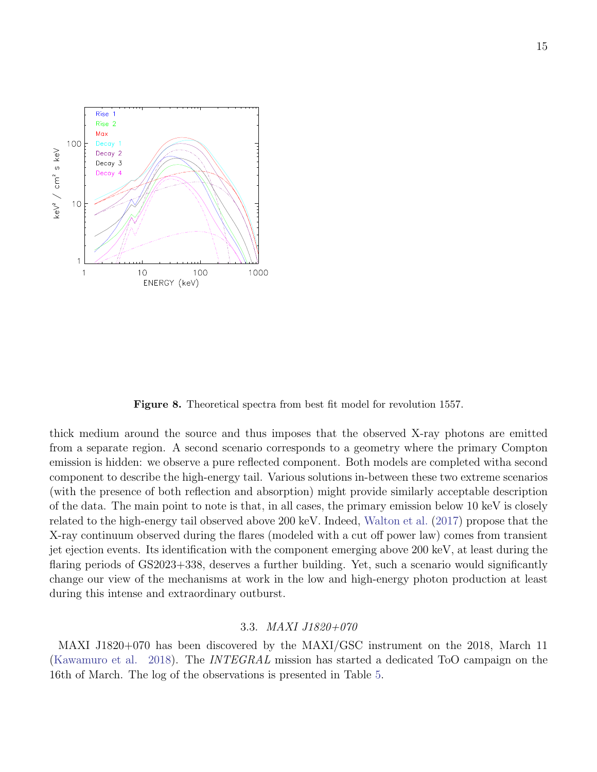

<span id="page-14-0"></span>Figure 8. Theoretical spectra from best fit model for revolution 1557.

thick medium around the source and thus imposes that the observed X-ray photons are emitted from a separate region. A second scenario corresponds to a geometry where the primary Compton emission is hidden: we observe a pure reflected component. Both models are completed witha second component to describe the high-energy tail. Various solutions in-between these two extreme scenarios (with the presence of both reflection and absorption) might provide similarly acceptable description of the data. The main point to note is that, in all cases, the primary emission below 10 keV is closely related to the high-energy tail observed above 200 keV. Indeed, [Walton et al.](#page-21-10) [\(2017\)](#page-21-10) propose that the X-ray continuum observed during the flares (modeled with a cut off power law) comes from transient jet ejection events. Its identification with the component emerging above 200 keV, at least during the flaring periods of GS2023+338, deserves a further building. Yet, such a scenario would significantly change our view of the mechanisms at work in the low and high-energy photon production at least during this intense and extraordinary outburst.

# 3.3. MAXI J1820+070

MAXI J1820+070 has been discovered by the MAXI/GSC instrument on the 2018, March 11 [\(Kawamuro et al.](#page-21-11) [2018\)](#page-21-11). The *INTEGRAL* mission has started a dedicated ToO campaign on the 16th of March. The log of the observations is presented in Table [5.](#page-24-0)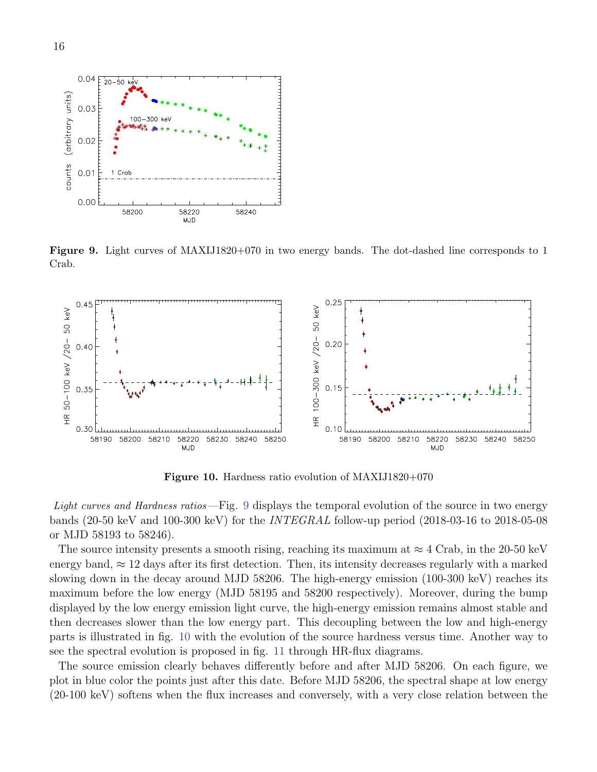

<span id="page-15-0"></span>Figure 9. Light curves of MAXIJ1820+070 in two energy bands. The dot-dashed line corresponds to 1 Crab.



<span id="page-15-1"></span>Figure 10. Hardness ratio evolution of MAXIJ1820+070

Light curves and Hardness ratios—Fig. [9](#page-15-0) displays the temporal evolution of the source in two energy bands (20-50 keV and 100-300 keV) for the INTEGRAL follow-up period (2018-03-16 to 2018-05-08 or MJD 58193 to 58246).

The source intensity presents a smooth rising, reaching its maximum at  $\approx 4$  Crab, in the 20-50 keV energy band,  $\approx 12$  days after its first detection. Then, its intensity decreases regularly with a marked slowing down in the decay around MJD 58206. The high-energy emission (100-300 keV) reaches its maximum before the low energy (MJD 58195 and 58200 respectively). Moreover, during the bump displayed by the low energy emission light curve, the high-energy emission remains almost stable and then decreases slower than the low energy part. This decoupling between the low and high-energy parts is illustrated in fig. [10](#page-15-1) with the evolution of the source hardness versus time. Another way to see the spectral evolution is proposed in fig. [11](#page-16-0) through HR-flux diagrams.

The source emission clearly behaves differently before and after MJD 58206. On each figure, we plot in blue color the points just after this date. Before MJD 58206, the spectral shape at low energy (20-100 keV) softens when the flux increases and conversely, with a very close relation between the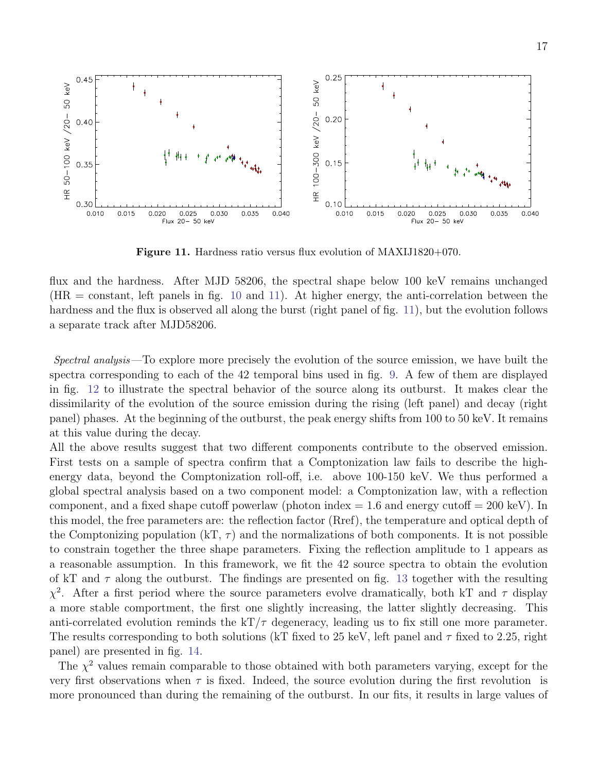

<span id="page-16-0"></span>Figure 11. Hardness ratio versus flux evolution of MAXIJ1820+070.

flux and the hardness. After MJD 58206, the spectral shape below 100 keV remains unchanged  $(HR = constant,$  left panels in fig. [10](#page-15-1) and [11\)](#page-16-0). At higher energy, the anti-correlation between the hardness and the flux is observed all along the burst (right panel of fig. [11\)](#page-16-0), but the evolution follows a separate track after MJD58206.

Spectral analysis —To explore more precisely the evolution of the source emission, we have built the spectra corresponding to each of the 42 temporal bins used in fig. [9.](#page-15-0) A few of them are displayed in fig. [12](#page-17-0) to illustrate the spectral behavior of the source along its outburst. It makes clear the dissimilarity of the evolution of the source emission during the rising (left panel) and decay (right panel) phases. At the beginning of the outburst, the peak energy shifts from 100 to 50 keV. It remains at this value during the decay.

All the above results suggest that two different components contribute to the observed emission. First tests on a sample of spectra confirm that a Comptonization law fails to describe the highenergy data, beyond the Comptonization roll-off, i.e. above 100-150 keV. We thus performed a global spectral analysis based on a two component model: a Comptonization law, with a reflection component, and a fixed shape cutoff powerlaw (photon index  $= 1.6$  and energy cutoff  $= 200 \text{ keV}$ ). In this model, the free parameters are: the reflection factor (Rref), the temperature and optical depth of the Comptonizing population (kT,  $\tau$ ) and the normalizations of both components. It is not possible to constrain together the three shape parameters. Fixing the reflection amplitude to 1 appears as a reasonable assumption. In this framework, we fit the 42 source spectra to obtain the evolution of kT and  $\tau$  along the outburst. The findings are presented on fig. [13](#page-18-0) together with the resulting  $\chi^2$ . After a first period where the source parameters evolve dramatically, both kT and  $\tau$  display a more stable comportment, the first one slightly increasing, the latter slightly decreasing. This anti-correlated evolution reminds the  $kT/\tau$  degeneracy, leading us to fix still one more parameter. The results corresponding to both solutions (kT fixed to 25 keV, left panel and  $\tau$  fixed to 2.25, right panel) are presented in fig. [14.](#page-19-0)

The  $\chi^2$  values remain comparable to those obtained with both parameters varying, except for the very first observations when  $\tau$  is fixed. Indeed, the source evolution during the first revolution is more pronounced than during the remaining of the outburst. In our fits, it results in large values of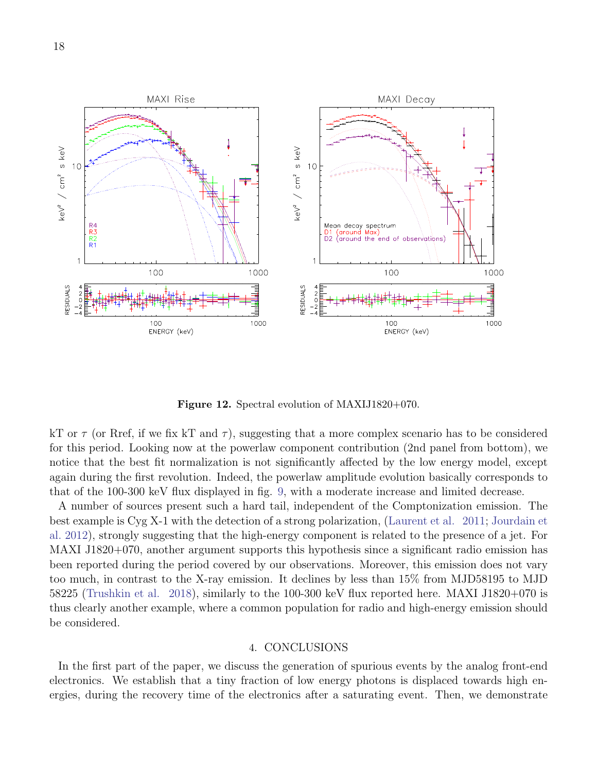

<span id="page-17-0"></span>Figure 12. Spectral evolution of MAXIJ1820+070.

kT or  $\tau$  (or Rref, if we fix kT and  $\tau$ ), suggesting that a more complex scenario has to be considered for this period. Looking now at the powerlaw component contribution (2nd panel from bottom), we notice that the best fit normalization is not significantly affected by the low energy model, except again during the first revolution. Indeed, the powerlaw amplitude evolution basically corresponds to that of the 100-300 keV flux displayed in fig. [9,](#page-15-0) with a moderate increase and limited decrease.

A number of sources present such a hard tail, independent of the Comptonization emission. The best example is Cyg X-1 with the detection of a strong polarization, [\(Laurent et al.](#page-21-12) [2011;](#page-21-12) [Jourdain et](#page-21-13) [al.](#page-21-13) [2012\)](#page-21-13), strongly suggesting that the high-energy component is related to the presence of a jet. For MAXI J1820+070, another argument supports this hypothesis since a significant radio emission has been reported during the period covered by our observations. Moreover, this emission does not vary too much, in contrast to the X-ray emission. It declines by less than 15% from MJD58195 to MJD 58225 [\(Trushkin et al.](#page-21-14) [2018\)](#page-21-14), similarly to the 100-300 keV flux reported here. MAXI J1820+070 is thus clearly another example, where a common population for radio and high-energy emission should be considered.

#### 4. CONCLUSIONS

In the first part of the paper, we discuss the generation of spurious events by the analog front-end electronics. We establish that a tiny fraction of low energy photons is displaced towards high energies, during the recovery time of the electronics after a saturating event. Then, we demonstrate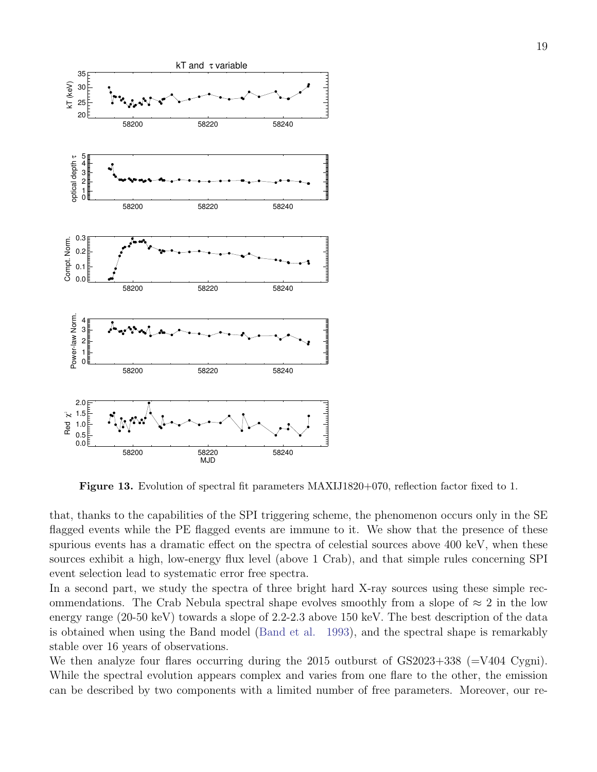

<span id="page-18-0"></span>Figure 13. Evolution of spectral fit parameters MAXIJ1820+070, reflection factor fixed to 1.

that, thanks to the capabilities of the SPI triggering scheme, the phenomenon occurs only in the SE flagged events while the PE flagged events are immune to it. We show that the presence of these spurious events has a dramatic effect on the spectra of celestial sources above 400 keV, when these sources exhibit a high, low-energy flux level (above 1 Crab), and that simple rules concerning SPI event selection lead to systematic error free spectra.

In a second part, we study the spectra of three bright hard X-ray sources using these simple recommendations. The Crab Nebula spectral shape evolves smoothly from a slope of  $\approx 2$  in the low energy range (20-50 keV) towards a slope of 2.2-2.3 above 150 keV. The best description of the data is obtained when using the Band model [\(Band et al.](#page-21-8) [1993\)](#page-21-8), and the spectral shape is remarkably stable over 16 years of observations.

We then analyze four flares occurring during the  $2015$  outburst of  $GS2023+338$  ( $=V404$  Cygni). While the spectral evolution appears complex and varies from one flare to the other, the emission can be described by two components with a limited number of free parameters. Moreover, our re-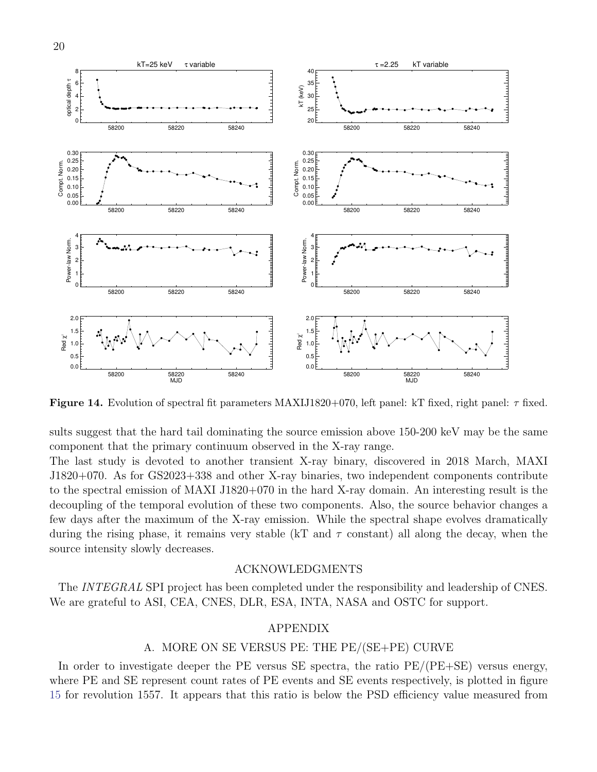

<span id="page-19-0"></span>Figure 14. Evolution of spectral fit parameters MAXIJ1820+070, left panel: kT fixed, right panel:  $\tau$  fixed.

sults suggest that the hard tail dominating the source emission above 150-200 keV may be the same component that the primary continuum observed in the X-ray range.

The last study is devoted to another transient X-ray binary, discovered in 2018 March, MAXI J1820+070. As for GS2023+338 and other X-ray binaries, two independent components contribute to the spectral emission of MAXI J1820+070 in the hard X-ray domain. An interesting result is the decoupling of the temporal evolution of these two components. Also, the source behavior changes a few days after the maximum of the X-ray emission. While the spectral shape evolves dramatically during the rising phase, it remains very stable (kT and  $\tau$  constant) all along the decay, when the source intensity slowly decreases.

### ACKNOWLEDGMENTS

The INTEGRAL SPI project has been completed under the responsibility and leadership of CNES. We are grateful to ASI, CEA, CNES, DLR, ESA, INTA, NASA and OSTC for support.

### APPENDIX

#### A. MORE ON SE VERSUS PE: THE PE/(SE+PE) CURVE

In order to investigate deeper the PE versus SE spectra, the ratio  $PE/(PE+SE)$  versus energy, where PE and SE represent count rates of PE events and SE events respectively, is plotted in figure [15](#page-20-0) for revolution 1557. It appears that this ratio is below the PSD efficiency value measured from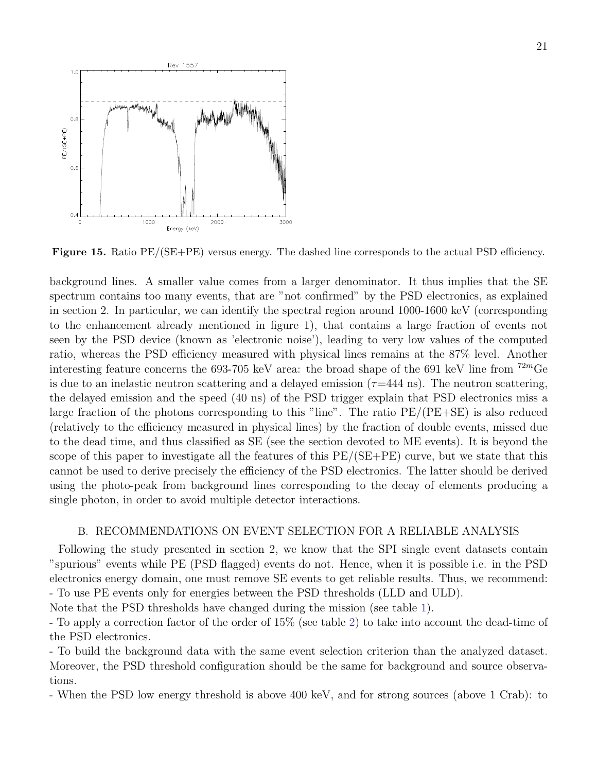

<span id="page-20-0"></span>Figure 15. Ratio PE/(SE+PE) versus energy. The dashed line corresponds to the actual PSD efficiency.

background lines. A smaller value comes from a larger denominator. It thus implies that the SE spectrum contains too many events, that are "not confirmed" by the PSD electronics, as explained in section 2. In particular, we can identify the spectral region around 1000-1600 keV (corresponding to the enhancement already mentioned in figure 1), that contains a large fraction of events not seen by the PSD device (known as 'electronic noise'), leading to very low values of the computed ratio, whereas the PSD efficiency measured with physical lines remains at the 87% level. Another interesting feature concerns the 693-705 keV area: the broad shape of the 691 keV line from  $72m$ Ge is due to an inelastic neutron scattering and a delayed emission  $(\tau=444 \text{ ns})$ . The neutron scattering, the delayed emission and the speed (40 ns) of the PSD trigger explain that PSD electronics miss a large fraction of the photons corresponding to this "line". The ratio PE/(PE+SE) is also reduced (relatively to the efficiency measured in physical lines) by the fraction of double events, missed due to the dead time, and thus classified as SE (see the section devoted to ME events). It is beyond the scope of this paper to investigate all the features of this  $PE/(SE+PE)$  curve, but we state that this cannot be used to derive precisely the efficiency of the PSD electronics. The latter should be derived using the photo-peak from background lines corresponding to the decay of elements producing a single photon, in order to avoid multiple detector interactions.

### B. RECOMMENDATIONS ON EVENT SELECTION FOR A RELIABLE ANALYSIS

Following the study presented in section 2, we know that the SPI single event datasets contain "spurious" events while PE (PSD flagged) events do not. Hence, when it is possible i.e. in the PSD electronics energy domain, one must remove SE events to get reliable results. Thus, we recommend: - To use PE events only for energies between the PSD thresholds (LLD and ULD).

Note that the PSD thresholds have changed during the mission (see table [1\)](#page-22-0).

- To apply a correction factor of the order of 15% (see table [2\)](#page-22-1) to take into account the dead-time of the PSD electronics.

- To build the background data with the same event selection criterion than the analyzed dataset. Moreover, the PSD threshold configuration should be the same for background and source observations.

- When the PSD low energy threshold is above 400 keV, and for strong sources (above 1 Crab): to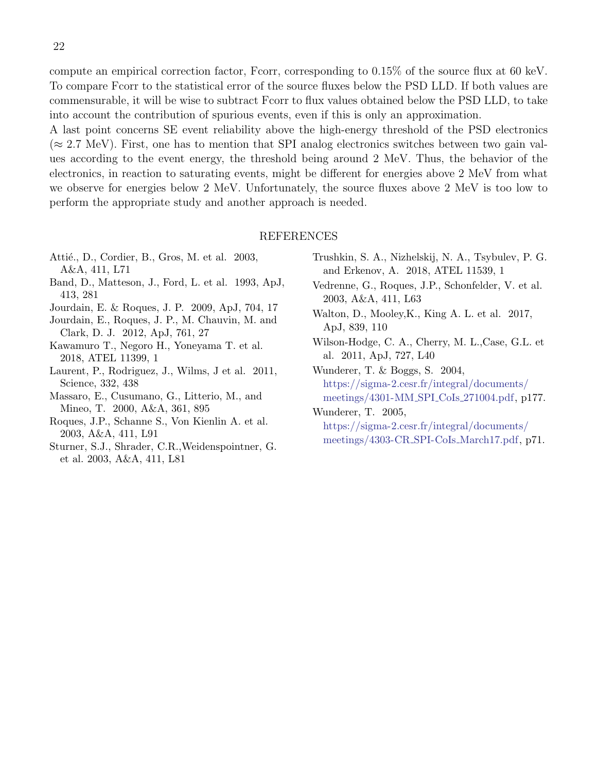compute an empirical correction factor, Fcorr, corresponding to 0.15% of the source flux at 60 keV. To compare Fcorr to the statistical error of the source fluxes below the PSD LLD. If both values are commensurable, it will be wise to subtract Fcorr to flux values obtained below the PSD LLD, to take into account the contribution of spurious events, even if this is only an approximation.

A last point concerns SE event reliability above the high-energy threshold of the PSD electronics  $(\approx 2.7 \text{ MeV})$ . First, one has to mention that SPI analog electronics switches between two gain values according to the event energy, the threshold being around 2 MeV. Thus, the behavior of the electronics, in reaction to saturating events, might be different for energies above 2 MeV from what we observe for energies below 2 MeV. Unfortunately, the source fluxes above 2 MeV is too low to perform the appropriate study and another approach is needed.

#### REFERENCES

- <span id="page-21-2"></span>Attié., D., Cordier, B., Gros, M. et al. 2003, A&A, 411, L71
- <span id="page-21-8"></span>Band, D., Matteson, J., Ford, L. et al. 1993, ApJ, 413, 281
- <span id="page-21-13"></span><span id="page-21-4"></span>Jourdain, E. & Roques, J. P. 2009, ApJ, 704, 17
- Jourdain, E., Roques, J. P., M. Chauvin, M. and Clark, D. J. 2012, ApJ, 761, 27
- <span id="page-21-11"></span>Kawamuro T., Negoro H., Yoneyama T. et al. 2018, ATEL 11399, 1
- <span id="page-21-12"></span>Laurent, P., Rodriguez, J., Wilms, J et al. 2011, Science, 332, 438
- <span id="page-21-7"></span>Massaro, E., Cusumano, G., Litterio, M., and Mineo, T. 2000, A&A, 361, 895
- <span id="page-21-1"></span>Roques, J.P., Schanne S., Von Kienlin A. et al. 2003, A&A, 411, L91
- <span id="page-21-3"></span>Sturner, S.J., Shrader, C.R.,Weidenspointner, G. et al. 2003, A&A, 411, L81
- <span id="page-21-14"></span>Trushkin, S. A., Nizhelskij, N. A., Tsybulev, P. G. and Erkenov, A. 2018, ATEL 11539, 1
- <span id="page-21-0"></span>Vedrenne, G., Roques, J.P., Schonfelder, V. et al. 2003, A&A, 411, L63
- <span id="page-21-10"></span>Walton, D., Mooley,K., King A. L. et al. 2017, ApJ, 839, 110
- <span id="page-21-9"></span>Wilson-Hodge, C. A., Cherry, M. L.,Case, G.L. et al. 2011, ApJ, 727, L40

<span id="page-21-5"></span>Wunderer, T. & Boggs, S. 2004, [https://sigma-2.cesr.fr/integral/documents/](https://sigma-2.cesr.fr/integral/documents/meetings/4301-MM_SPI_CoIs_271004.pdf) [meetings/4301-MM](https://sigma-2.cesr.fr/integral/documents/meetings/4301-MM_SPI_CoIs_271004.pdf) SPI CoIs 271004.pdf, p177.

<span id="page-21-6"></span>Wunderer, T. 2005, [https://sigma-2.cesr.fr/integral/documents/](https://sigma-2.cesr.fr/integral/documents/meetings/4303-CR_SPI-CoIs_March17.pdf) [meetings/4303-CR](https://sigma-2.cesr.fr/integral/documents/meetings/4303-CR_SPI-CoIs_March17.pdf) SPI-CoIs March17.pdf, p71.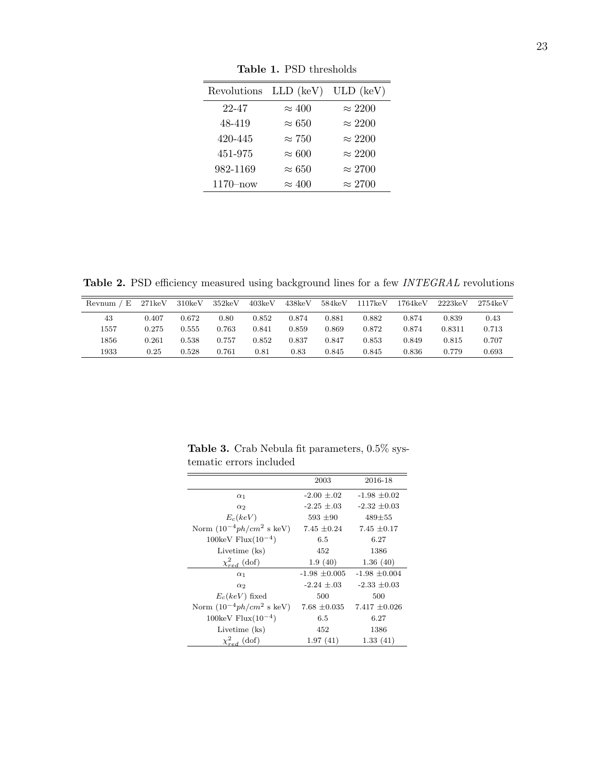| Revolutions LLD (keV) |               | $ULD$ (keV)    |
|-----------------------|---------------|----------------|
| 22-47                 | $\approx 400$ | $\approx 2200$ |
| 48-419                | $\approx 650$ | $\approx 2200$ |
| 420-445               | $\approx 750$ | $\approx 2200$ |
| 451-975               | $\approx 600$ | $\approx 2200$ |
| 982-1169              | $\approx 650$ | $\approx 2700$ |
| $1170 - now$          | $\approx 400$ | $\approx 2700$ |

<span id="page-22-0"></span>Table 1. PSD thresholds

<span id="page-22-1"></span>Table 2. PSD efficiency measured using background lines for a few INTEGRAL revolutions

| Revnum / E | 271keV | 310 <sub>keV</sub> | 352keV | 403keV | 438keV | 584keV | 1117keV | $1764 \text{keV}$ | 2223keV | $2754k$ eV |
|------------|--------|--------------------|--------|--------|--------|--------|---------|-------------------|---------|------------|
| 43         | 0.407  | 0.672              | 0.80   | 0.852  | 0.874  | 0.881  | 0.882   | 0.874             | 0.839   | 0.43       |
| 1557       | 0.275  | 0.555              | 0.763  | 0.841  | 0.859  | 0.869  | 0.872   | 0.874             | 0.8311  | 0.713      |
| 1856       | 0.261  | 0.538              | 0.757  | 0.852  | 0.837  | 0.847  | 0.853   | 0.849             | 0.815   | 0.707      |
| 1933       | 0.25   | 0.528              | 0.761  | 0.81   | 0.83   | 0.845  | 0.845   | 0.836             | 0.779   | 0.693      |

<span id="page-22-2"></span>Table 3. Crab Nebula fit parameters, 0.5% systematic errors included

|                                       | 2003              | 2016-18           |  |
|---------------------------------------|-------------------|-------------------|--|
| $\alpha_1$                            | $-2.00 \pm 0.02$  | $-1.98 \pm 0.02$  |  |
| $\alpha_2$                            | $-2.25 \pm .03$   | $-2.32 \pm 0.03$  |  |
| $E_c(keV)$                            | $593 \pm 90$      | $489 + 55$        |  |
| Norm $(10^{-4}ph/cm^2 \text{ s keV})$ | 7.45 $\pm 0.24$   | $7.45 \pm 0.17$   |  |
| $100 \text{keV}$ Flux $(10^{-4})$     | 6.5               | 6.27              |  |
| Livetime (ks)                         | 452               | 1386              |  |
| $\chi^2_{red}$ (dof)                  | 1.9(40)           | 1.36(40)          |  |
| $\alpha_1$                            | $-1.98 \pm 0.005$ | $-1.98 \pm 0.004$ |  |
| $\alpha_2$                            | $-2.24 \pm .03$   | $-2.33 \pm 0.03$  |  |
| $E_c(keV)$ fixed                      | 500               | 500               |  |
| Norm $(10^{-4}ph/cm^2 \text{ s keV})$ | $7.68 \pm 0.035$  | $7.417 \pm 0.026$ |  |
| 100keV $Flux(10^{-4})$                | 6.5               | 6.27              |  |
| Livetime (ks)                         | 452               | 1386              |  |
| $\chi^2_{red}$ (dof)                  | 1.97(41)          | 1.33(41)          |  |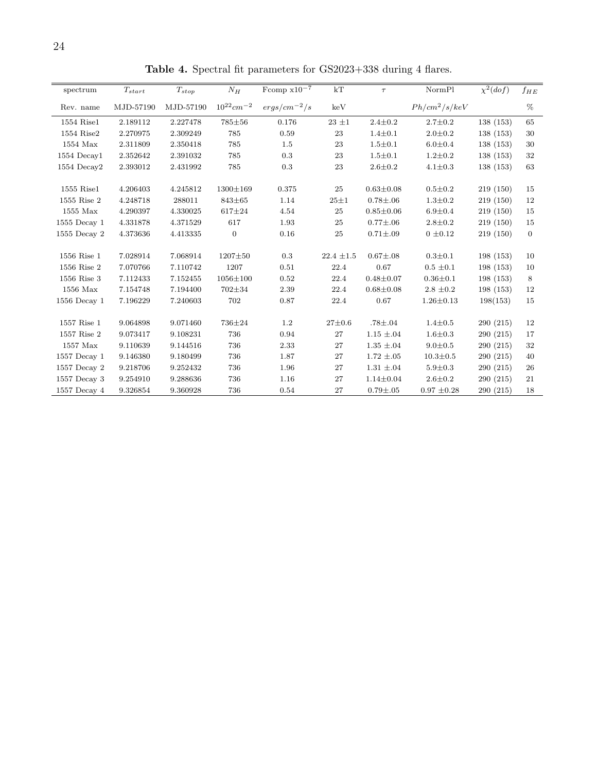| spectrum         | $T_{start}$ | $T_{stop}$ | ${\cal N}_H$               | Fromp $\rm x10^{-7}$ | $\rm kT$       | $\tau$          | NormPl          | $\chi^2(dof)$ | $f_{HE}$     |
|------------------|-------------|------------|----------------------------|----------------------|----------------|-----------------|-----------------|---------------|--------------|
| Rev. name        | MJD-57190   | MJD-57190  | $10^{22}$ cm <sup>-2</sup> | $ergs/cm^{-2}/s$     | keV            |                 | $Ph/cm^2/s/keV$ |               | $\%$         |
| 1554 Rise1       | 2.189112    | 2.227478   | 785±56                     | 0.176                | $23~\pm1$      | $2.4 \pm 0.2$   | $2.7 \pm 0.2$   | 138(153)      | 65           |
| 1554 Rise2       | 2.270975    | 2.309249   | 785                        | 0.59                 | 23             | $1.4 \pm 0.1$   | $2.0 \pm 0.2$   | 138(153)      | 30           |
| $1554$ Max       | 2.311809    | 2.350418   | 785                        | 1.5                  | 23             | $1.5 \pm 0.1$   | $6.0 \pm 0.4$   | 138(153)      | 30           |
| 1554 Decay1      | 2.352642    | 2.391032   | 785                        | 0.3                  | 23             | $1.5 \pm 0.1$   | $1.2 \pm 0.2$   | 138(153)      | 32           |
| $1554$ Decay2    | 2.393012    | 2.431992   | 785                        | $\rm 0.3$            | 23             | $2.6 \pm 0.2$   | $4.1 \pm 0.3$   | 138(153)      | 63           |
|                  |             |            |                            |                      |                |                 |                 |               |              |
| $1555$ Rise $1$  | 4.206403    | 4.245812   | 1300±169                   | 0.375                | 25             | $0.63 \pm 0.08$ | $0.5 \pm 0.2$   | 219(150)      | 15           |
| 1555 Rise 2      | 4.248718    | 288011     | 843±65                     | 1.14                 | $25 + 1$       | $0.78 + .06$    | $1.3 \pm 0.2$   | 219(150)      | 12           |
| 1555 Max         | 4.290397    | 4.330025   | $617 + 24$                 | 4.54                 | 25             | $0.85 \pm 0.06$ | $6.9 \pm 0.4$   | 219(150)      | 15           |
| $1555$ Decay $1$ | 4.331878    | 4.371529   | 617                        | 1.93                 | 25             | $0.77 + .06$    | $2.8 \pm 0.2$   | 219(150)      | 15           |
| 1555 Decay 2     | 4.373636    | 4.413335   | $\mathbf{0}$               | $0.16\,$             | 25             | $0.71 + .09$    | $0 \pm 0.12$    | 219(150)      | $\mathbf{0}$ |
| 1556 Rise 1      | 7.028914    | 7.068914   | $1207 + 50$                | 0.3                  | $22.4 \pm 1.5$ | $0.67 + .08$    | $0.3 + 0.1$     | 198 (153)     | 10           |
| 1556 Rise 2      | 7.070766    | 7.110742   | 1207                       | 0.51                 | 22.4           | 0.67            | $0.5 \pm 0.1$   | 198(153)      | 10           |
|                  |             |            |                            |                      |                |                 |                 |               |              |
| 1556 Rise 3      | 7.112433    | 7.152455   | $1056 \pm 100$             | 0.52                 | 22.4           | $0.48 + 0.07$   | $0.36 \pm 0.1$  | 198(153)      | 8            |
| 1556 Max         | 7.154748    | 7.194400   | 702±34                     | 2.39                 | 22.4           | $0.68 + 0.08$   | $2.8 \pm 0.2$   | 198(153)      | 12           |
| $1556$ Decay $1$ | 7.196229    | 7.240603   | 702                        | 0.87                 | 22.4           | 0.67            | $1.26 \pm 0.13$ | 198(153)      | 15           |
| 1557 Rise 1      | 9.064898    | 9.071460   | 736±24                     | 1.2                  | $27 + 0.6$     | $.78 {\pm} .04$ | $1.4 \pm 0.5$   | 290(215)      | 12           |
| 1557 Rise 2      | 9.073417    | 9.108231   | 736                        | 0.94                 | 27             | $1.15\,\pm.04$  | $1.6 + 0.3$     | 290(215)      | 17           |
| 1557 Max         | 9.110639    | 9.144516   | 736                        | 2.33                 | 27             | $1.35 \pm .04$  | $9.0 \pm 0.5$   | 290(215)      | 32           |
| $1557$ Decay $1$ | 9.146380    | 9.180499   | 736                        | 1.87                 | 27             | $1.72 \pm .05$  | $10.3 \pm 0.5$  | 290(215)      | 40           |
| 1557 Decay 2     | 9.218706    | 9.252432   | 736                        | 1.96                 | 27             | $1.31 \pm .04$  | $5.9 \pm 0.3$   | 290(215)      | 26           |
| $1557$ Decay $3$ | 9.254910    | 9.288636   | 736                        | 1.16                 | 27             | $1.14 \pm 0.04$ | $2.6 + 0.2$     | 290(215)      | 21           |
| 1557 Decay 4     | 9.326854    | 9.360928   | 736                        | 0.54                 | 27             | $0.79 + .05$    | $0.97 \pm 0.28$ | 290(215)      | 18           |

<span id="page-23-0"></span>Table 4. Spectral fit parameters for GS2023+338 during 4 flares.